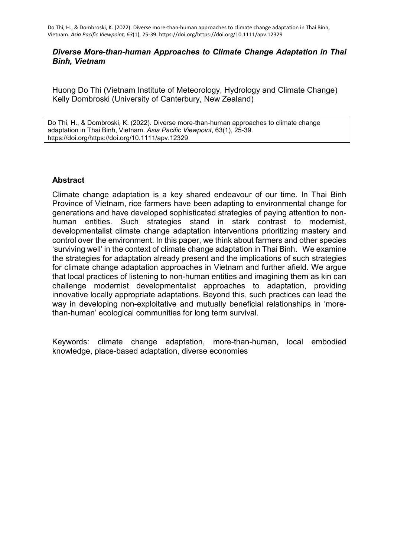### *Diverse More-than-human Approaches to Climate Change Adaptation in Thai Binh, Vietnam*

Huong Do Thi (Vietnam Institute of Meteorology, Hydrology and Climate Change) Kelly Dombroski (University of Canterbury, New Zealand)

Do Thi, H., & Dombroski, K. (2022). Diverse more-than-human approaches to climate change adaptation in Thai Binh, Vietnam. *Asia Pacific Viewpoint*, 63(1), 25-39. https://doi.org/https://doi.org/10.1111/apv.12329

## **Abstract**

Climate change adaptation is a key shared endeavour of our time. In Thai Binh Province of Vietnam, rice farmers have been adapting to environmental change for generations and have developed sophisticated strategies of paying attention to nonhuman entities. Such strategies stand in stark contrast to modernist, developmentalist climate change adaptation interventions prioritizing mastery and control over the environment. In this paper, we think about farmers and other species 'surviving well' in the context of climate change adaptation in Thai Binh. We examine the strategies for adaptation already present and the implications of such strategies for climate change adaptation approaches in Vietnam and further afield. We argue that local practices of listening to non-human entities and imagining them as kin can challenge modernist developmentalist approaches to adaptation, providing innovative locally appropriate adaptations. Beyond this, such practices can lead the way in developing non-exploitative and mutually beneficial relationships in 'morethan-human' ecological communities for long term survival.

Keywords: climate change adaptation, more-than-human, local embodied knowledge, place-based adaptation, diverse economies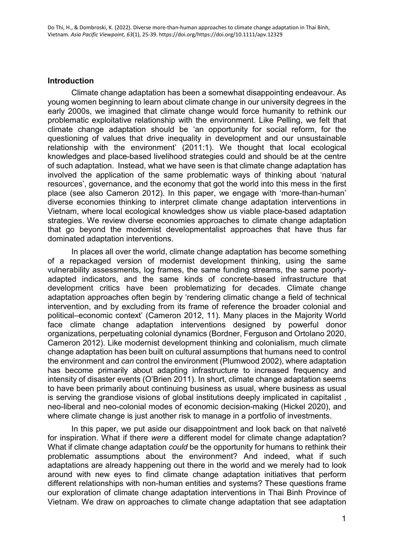### **Introduction**

Climate change adaptation has been a somewhat disappointing endeavour. As young women beginning to learn about climate change in our university degrees in the early 2000s, we imagined that climate change would force humanity to rethink our problematic exploitative relationship with the environment. Like Pelling, we felt that climate change adaptation should be 'an opportunity for social reform, for the questioning of values that drive inequality in development and our unsustainable relationship with the environment' (2011:1). We thought that local ecological knowledges and place-based livelihood strategies could and should be at the centre of such adaptation. Instead, what we have seen is that climate change adaptation has involved the application of the same problematic ways of thinking about 'natural resources', governance, and the economy that got the world into this mess in the first place (see also Cameron 2012). In this paper, we engage with 'more-than-human' diverse economies thinking to interpret climate change adaptation interventions in Vietnam, where local ecological knowledges show us viable place-based adaptation strategies. We review diverse economies approaches to climate change adaptation that go beyond the modernist developmentalist approaches that have thus far dominated adaptation interventions.

In places all over the world, climate change adaptation has become something of a repackaged version of modernist development thinking, using the same vulnerability assessments, log frames, the same funding streams, the same poorlyadapted indicators, and the same kinds of concrete-based infrastructure that development critics have been problematizing for decades. Climate change adaptation approaches often begin by 'rendering climatic change a field of technical intervention, and by excluding from its frame of reference the broader colonial and political–economic context' (Cameron 2012, 11). Many places in the Majority World face climate change adaptation interventions designed by powerful donor organizations, perpetuating colonial dynamics (Bordner, Ferguson and Ortolano 2020, Cameron 2012). Like modernist development thinking and colonialism, much climate change adaptation has been built on cultural assumptions that humans need to control the environment and *can* control the environment (Plumwood 2002), where adaptation has become primarily about adapting infrastructure to increased frequency and intensity of disaster events (O'Brien 2011). In short, climate change adaptation seems to have been primarily about continuing business as usual, where business as usual is serving the grandiose visions of global institutions deeply implicated in capitalist , neo-liberal and neo-colonial modes of economic decision-making (Hickel 2020), and where climate change is just another risk to manage in a portfolio of investments.

In this paper, we put aside our disappointment and look back on that naïveté for inspiration. What if there *were* a different model for climate change adaptation? What if climate change adaptation *could* be the opportunity for humans to rethink their problematic assumptions about the environment? And indeed, what if such adaptations are already happening out there in the world and we merely had to look around with new eyes to find climate change adaptation initiatives that perform different relationships with non-human entities and systems? These questions frame our exploration of climate change adaptation interventions in Thai Binh Province of Vietnam. We draw on approaches to climate change adaptation that see adaptation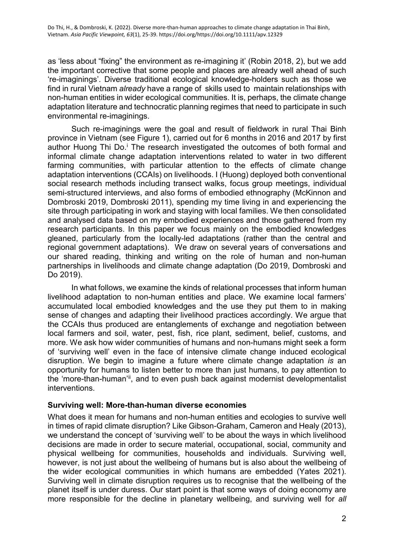as 'less about "fixing" the environment as re-imagining it' (Robin 2018, 2), but we add the important corrective that some people and places are already well ahead of such 're-imaginings'. Diverse traditional ecological knowledge-holders such as those we find in rural Vietnam *already* have a range of skills used to maintain relationships with non-human entities in wider ecological communities. It is, perhaps, the climate change adaptation literature and technocratic planning regimes that need to participate in such environmental re-imaginings.

Such re-imaginings were the goal and result of fieldwork in rural Thai Binh province in Vietnam (see Figure 1), carried out for 6 months in 2016 and 2017 by first author Huong Th[i](#page-16-0) Do.<sup>i</sup> The research investigated the outcomes of both formal and informal climate change adaptation interventions related to water in two different farming communities, with particular attention to the effects of climate change adaptation interventions (CCAIs) on livelihoods. I (Huong) deployed both conventional social research methods including transect walks, focus group meetings, individual semi-structured interviews, and also forms of embodied ethnography (McKinnon and Dombroski 2019, Dombroski 2011), spending my time living in and experiencing the site through participating in work and staying with local families. We then consolidated and analysed data based on my embodied experiences and those gathered from my research participants. In this paper we focus mainly on the embodied knowledges gleaned, particularly from the locally-led adaptations (rather than the central and regional government adaptations). We draw on several years of conversations and our shared reading, thinking and writing on the role of human and non-human partnerships in livelihoods and climate change adaptation (Do 2019, Dombroski and Do 2019).

In what follows, we examine the kinds of relational processes that inform human livelihood adaptation to non-human entities and place. We examine local farmers' accumulated local embodied knowledges and the use they put them to in making sense of changes and adapting their livelihood practices accordingly. We argue that the CCAIs thus produced are entanglements of exchange and negotiation between local farmers and soil, water, pest, fish, rice plant, sediment, belief, customs, and more. We ask how wider communities of humans and non-humans might seek a form of 'surviving well' even in the face of intensive climate change induced ecological disruption. We begin to imagine a future where climate change adaptation *is* an opportunity for humans to listen better to more than just humans, to pay attention to the 'more-than-human'<sup>[ii](#page-16-1)</sup>, and to even push back against modernist developmentalist interventions.

### **Surviving well: More-than-human diverse economies**

What does it mean for humans and non-human entities and ecologies to survive well in times of rapid climate disruption? Like Gibson-Graham, Cameron and Healy (2013), we understand the concept of 'surviving well' to be about the ways in which livelihood decisions are made in order to secure material, occupational, social, community and physical wellbeing for communities, households and individuals. Surviving well, however, is not just about the wellbeing of humans but is also about the wellbeing of the wider ecological communities in which humans are embedded (Yates 2021). Surviving well in climate disruption requires us to recognise that the wellbeing of the planet itself is under duress. Our start point is that some ways of doing economy are more responsible for the decline in planetary wellbeing, and surviving well for *all*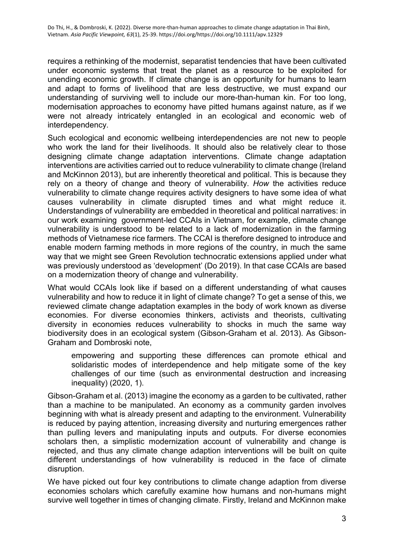requires a rethinking of the modernist, separatist tendencies that have been cultivated under economic systems that treat the planet as a resource to be exploited for unending economic growth. If climate change is an opportunity for humans to learn and adapt to forms of livelihood that are less destructive, we must expand our understanding of surviving well to include our more-than-human kin. For too long, modernisation approaches to economy have pitted humans against nature, as if we were not already intricately entangled in an ecological and economic web of interdependency.

Such ecological and economic wellbeing interdependencies are not new to people who work the land for their livelihoods. It should also be relatively clear to those designing climate change adaptation interventions. Climate change adaptation interventions are activities carried out to reduce vulnerability to climate change (Ireland and McKinnon 2013), but are inherently theoretical and political. This is because they rely on a theory of change and theory of vulnerability. *How* the activities reduce vulnerability to climate change requires activity designers to have some idea of what causes vulnerability in climate disrupted times and what might reduce it. Understandings of vulnerability are embedded in theoretical and political narratives: in our work examining government-led CCAIs in Vietnam, for example, climate change vulnerability is understood to be related to a lack of modernization in the farming methods of Vietnamese rice farmers. The CCAI is therefore designed to introduce and enable modern farming methods in more regions of the country, in much the same way that we might see Green Revolution technocratic extensions applied under what was previously understood as 'development' (Do 2019). In that case CCAIs are based on a modernization theory of change and vulnerability.

What would CCAIs look like if based on a different understanding of what causes vulnerability and how to reduce it in light of climate change? To get a sense of this, we reviewed climate change adaptation examples in the body of work known as diverse economies. For diverse economies thinkers, activists and theorists, cultivating diversity in economies reduces vulnerability to shocks in much the same way biodiversity does in an ecological system (Gibson-Graham et al. 2013). As Gibson-Graham and Dombroski note,

empowering and supporting these differences can promote ethical and solidaristic modes of interdependence and help mitigate some of the key challenges of our time (such as environmental destruction and increasing inequality) (2020, 1).

Gibson-Graham et al. (2013) imagine the economy as a garden to be cultivated, rather than a machine to be manipulated. An economy as a community garden involves beginning with what is already present and adapting to the environment. Vulnerability is reduced by paying attention, increasing diversity and nurturing emergences rather than pulling levers and manipulating inputs and outputs. For diverse economies scholars then, a simplistic modernization account of vulnerability and change is rejected, and thus any climate change adaption interventions will be built on quite different understandings of how vulnerability is reduced in the face of climate disruption.

We have picked out four key contributions to climate change adaption from diverse economies scholars which carefully examine how humans and non-humans might survive well together in times of changing climate. Firstly, Ireland and McKinnon make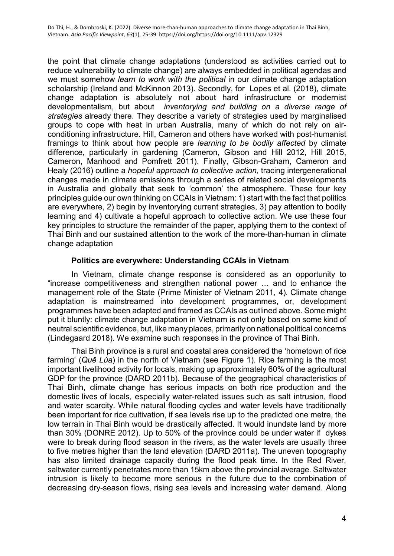the point that climate change adaptations (understood as activities carried out to reduce vulnerability to climate change) are always embedded in political agendas and we must somehow *learn to work with the political* in our climate change adaptation scholarship (Ireland and McKinnon 2013). Secondly, for Lopes et al. (2018), climate change adaptation is absolutely not about hard infrastructure or modernist developmentalism, but about *inventorying and building on a diverse range of strategies* already there. They describe a variety of strategies used by marginalised groups to cope with heat in urban Australia, many of which do not rely on airconditioning infrastructure. Hill, Cameron and others have worked with post-humanist framings to think about how people are *learning to be bodily affected* by climate difference, particularly in gardening (Cameron, Gibson and Hill 2012, Hill 2015, Cameron, Manhood and Pomfrett 2011). Finally, Gibson-Graham, Cameron and Healy (2016) outline a *hopeful approach to collective action*, tracing intergenerational changes made in climate emissions through a series of related social developments in Australia and globally that seek to 'common' the atmosphere. These four key principles guide our own thinking on CCAIs in Vietnam: 1) start with the fact that politics are everywhere, 2) begin by inventorying current strategies, 3) pay attention to bodily learning and 4) cultivate a hopeful approach to collective action. We use these four key principles to structure the remainder of the paper, applying them to the context of Thai Binh and our sustained attention to the work of the more-than-human in climate change adaptation

## **Politics are everywhere: Understanding CCAIs in Vietnam**

In Vietnam, climate change response is considered as an opportunity to "increase competitiveness and strengthen national power … and to enhance the management role of the State (Prime Minister of Vietnam 2011, 4). Climate change adaptation is mainstreamed into development programmes, or, development programmes have been adapted and framed as CCAIs as outlined above. Some might put it bluntly: climate change adaptation in Vietnam is not only based on some kind of neutral scientific evidence, but, like many places, primarily on national political concerns (Lindegaard 2018). We examine such responses in the province of Thai Binh.

Thai Binh province is a rural and coastal area considered the 'hometown of rice farming' (*Quê Lúa*) in the north of Vietnam (see Figure 1). Rice farming is the most important livelihood activity for locals, making up approximately 60% of the agricultural GDP for the province (DARD 2011b). Because of the geographical characteristics of Thai Binh, climate change has serious impacts on both rice production and the domestic lives of locals, especially water-related issues such as salt intrusion, flood and water scarcity. While natural flooding cycles and water levels have traditionally been important for rice cultivation, if sea levels rise up to the predicted one metre, the low terrain in Thai Binh would be drastically affected. It would inundate land by more than 30% (DONRE 2012). Up to 50% of the province could be under water if dykes were to break during flood season in the rivers, as the water levels are usually three to five metres higher than the land elevation (DARD 2011a). The uneven topography has also limited drainage capacity during the flood peak time. In the Red River, saltwater currently penetrates more than 15km above the provincial average. Saltwater intrusion is likely to become more serious in the future due to the combination of decreasing dry-season flows, rising sea levels and increasing water demand. Along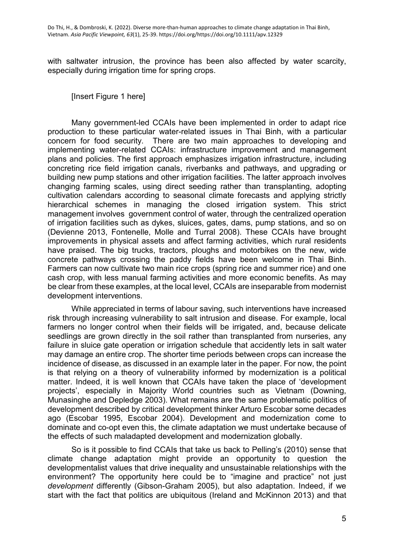with saltwater intrusion, the province has been also affected by water scarcity, especially during irrigation time for spring crops.

[Insert Figure 1 here]

Many government-led CCAIs have been implemented in order to adapt rice production to these particular water-related issues in Thai Binh, with a particular concern for food security. There are two main approaches to developing and implementing water-related CCAIs: infrastructure improvement and management plans and policies. The first approach emphasizes irrigation infrastructure, including concreting rice field irrigation canals, riverbanks and pathways, and upgrading or building new pump stations and other irrigation facilities. The latter approach involves changing farming scales, using direct seeding rather than transplanting, adopting cultivation calendars according to seasonal climate forecasts and applying strictly hierarchical schemes in managing the closed irrigation system. This strict management involves government control of water, through the centralized operation of irrigation facilities such as dykes, sluices, gates, dams, pump stations, and so on (Devienne 2013, Fontenelle, Molle and Turral 2008). These CCAIs have brought improvements in physical assets and affect farming activities, which rural residents have praised. The big trucks, tractors, ploughs and motorbikes on the new, wide concrete pathways crossing the paddy fields have been welcome in Thai Binh. Farmers can now cultivate two main rice crops (spring rice and summer rice) and one cash crop, with less manual farming activities and more economic benefits. As may be clear from these examples, at the local level, CCAIs are inseparable from modernist development interventions.

While appreciated in terms of labour saving, such interventions have increased risk through increasing vulnerability to salt intrusion and disease. For example, local farmers no longer control when their fields will be irrigated, and, because delicate seedlings are grown directly in the soil rather than transplanted from nurseries, any failure in sluice gate operation or irrigation schedule that accidently lets in salt water may damage an entire crop. The shorter time periods between crops can increase the incidence of disease, as discussed in an example later in the paper. For now, the point is that relying on a theory of vulnerability informed by modernization is a political matter. Indeed, it is well known that CCAIs have taken the place of 'development projects', especially in Majority World countries such as Vietnam (Downing, Munasinghe and Depledge 2003). What remains are the same problematic politics of development described by critical development thinker Arturo Escobar some decades ago (Escobar 1995, Escobar 2004). Development and modernization come to dominate and co-opt even this, the climate adaptation we must undertake because of the effects of such maladapted development and modernization globally.

So is it possible to find CCAIs that take us back to Pelling's (2010) sense that climate change adaptation might provide an opportunity to question the developmentalist values that drive inequality and unsustainable relationships with the environment? The opportunity here could be to "imagine and practice" not just *development* differently (Gibson-Graham 2005), but also adaptation. Indeed, if we start with the fact that politics are ubiquitous (Ireland and McKinnon 2013) and that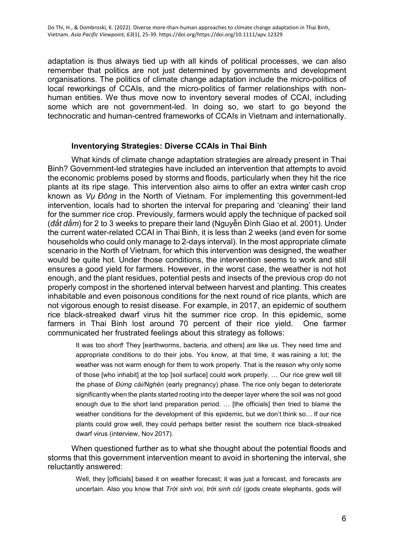adaptation is thus always tied up with all kinds of political processes, we can also remember that politics are not just determined by governments and development organisations. The politics of climate change adaptation include the micro-politics of local reworkings of CCAIs, and the micro-politics of farmer relationships with nonhuman entities. We thus move now to inventory several modes of CCAI, including some which are not government-led. In doing so, we start to go beyond the technocratic and human-centred frameworks of CCAIs in Vietnam and internationally.

#### **Inventorying Strategies: Diverse CCAIs in Thai Binh**

What kinds of climate change adaptation strategies are already present in Thai Binh? Government-led strategies have included an intervention that attempts to avoid the economic problems posed by storms and floods, particularly when they hit the rice plants at its ripe stage. This intervention also aims to offer an extra winter cash crop known as *Vụ Đông* in the North of Vietnam. For implementing this government-led intervention, locals had to shorten the interval for preparing and 'cleaning' their land for the summer rice crop. Previously, farmers would apply the technique of packed soil (*đất dầm*) for 2 to 3 weeks to prepare their land (Nguyễn Đình Giao et al. 2001). Under the current water-related CCAI in Thai Binh, it is less than 2 weeks (and even for some households who could only manage to 2-days interval). In the most appropriate climate scenario in the North of Vietnam, for which this intervention was designed, the weather would be quite hot. Under those conditions, the intervention seems to work and still ensures a good yield for farmers. However, in the worst case, the weather is not hot enough, and the plant residues, potential pests and insects of the previous crop do not properly compost in the shortened interval between harvest and planting. This creates inhabitable and even poisonous conditions for the next round of rice plants, which are not vigorous enough to resist disease. For example, in 2017, an epidemic of southern rice black-streaked dwarf virus hit the summer rice crop. In this epidemic, some farmers in Thai Binh lost around 70 percent of their rice yield. One farmer communicated her frustrated feelings about this strategy as follows:

It was too *short*! They [earthworms, bacteria, and others] are like us. They need time and appropriate conditions to do their jobs. You know, at that time, it was raining a lot; the weather was not warm enough for them to work properly. That is the reason why only some of those [who inhabit] at the top [soil surface] could work properly. … Our rice grew well till the phase of *Đứng cái/Nghén* (early pregnancy) phase. The rice only began to deteriorate significantly when the plants started rooting into the deeper layer where the soil was not good enough due to the short land preparation period. … [the officials] then tried to blame the weather conditions for the development of this epidemic, but we don't think so… If our rice plants could grow well, they could perhaps better resist the southern rice black-streaked dwarf virus (interview, Nov 2017).

When questioned further as to what she thought about the potential floods and storms that this government intervention meant to avoid in shortening the interval, she reluctantly answered:

Well, they [officials] based it on weather forecast; it was just a forecast, and forecasts are uncertain. Also you know that *Trời sinh voi, trời sinh cỏ*/ (gods create elephants, gods will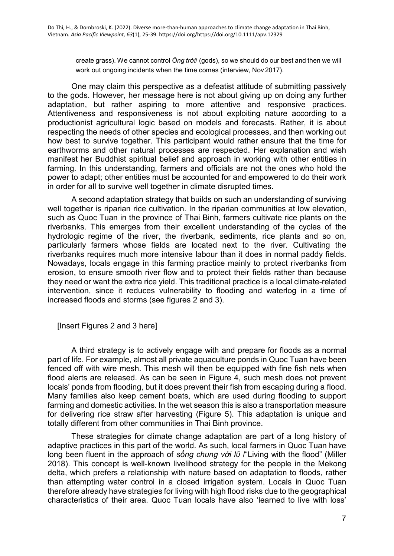create grass). We cannot control *Ông trời*/ (gods), so we should do our best and then we will work out ongoing incidents when the time comes (interview, Nov 2017).

One may claim this perspective as a defeatist attitude of submitting passively to the gods. However, her message here is not about giving up on doing any further adaptation, but rather aspiring to more attentive and responsive practices. Attentiveness and responsiveness is not about exploiting nature according to a productionist agricultural logic based on models and forecasts. Rather, it is about respecting the needs of other species and ecological processes, and then working out how best to survive together. This participant would rather ensure that the time for earthworms and other natural processes are respected. Her explanation and wish manifest her Buddhist spiritual belief and approach in working with other entities in farming. In this understanding, farmers and officials are not the ones who hold the power to adapt; other entities must be accounted for and empowered to do their work in order for all to survive well together in climate disrupted times.

A second adaptation strategy that builds on such an understanding of surviving well together is riparian rice cultivation. In the riparian communities at low elevation, such as Quoc Tuan in the province of Thai Binh, farmers cultivate rice plants on the riverbanks. This emerges from their excellent understanding of the cycles of the hydrologic regime of the river, the riverbank, sediments, rice plants and so on, particularly farmers whose fields are located next to the river. Cultivating the riverbanks requires much more intensive labour than it does in normal paddy fields. Nowadays, locals engage in this farming practice mainly to protect riverbanks from erosion, to ensure smooth river flow and to protect their fields rather than because they need or want the extra rice yield. This traditional practice is a local climate-related intervention, since it reduces vulnerability to flooding and waterlog in a time of increased floods and storms (see figures 2 and 3).

[Insert Figures 2 and 3 here]

A third strategy is to actively engage with and prepare for floods as a normal part of life. For example, almost all private aquaculture ponds in Quoc Tuan have been fenced off with wire mesh. This mesh will then be equipped with fine fish nets when flood alerts are released. As can be seen in Figure 4, such mesh does not prevent locals' ponds from flooding, but it does prevent their fish from escaping during a flood. Many families also keep cement boats, which are used during flooding to support farming and domestic activities. In the wet season this is also a transportation measure for delivering rice straw after harvesting (Figure 5). This adaptation is unique and totally different from other communities in Thai Binh province.

These strategies for climate change adaptation are part of a long history of adaptive practices in this part of the world. As such, local farmers in Quoc Tuan have long been fluent in the approach of *sống chung với lῦ* /"Living with the flood" (Miller 2018). This concept is well-known livelihood strategy for the people in the Mekong delta, which prefers a relationship with nature based on adaptation to floods, rather than attempting water control in a closed irrigation system. Locals in Quoc Tuan therefore already have strategies for living with high flood risks due to the geographical characteristics of their area. Quoc Tuan locals have also 'learned to live with loss'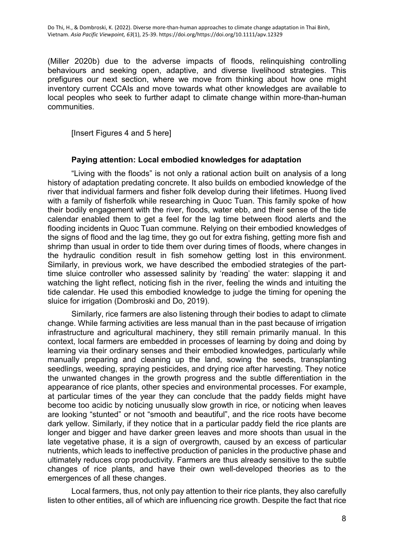(Miller 2020b) due to the adverse impacts of floods, relinquishing controlling behaviours and seeking open, adaptive, and diverse livelihood strategies. This prefigures our next section, where we move from thinking about how one might inventory current CCAIs and move towards what other knowledges are available to local peoples who seek to further adapt to climate change within more-than-human communities.

[Insert Figures 4 and 5 here]

### **Paying attention: Local embodied knowledges for adaptation**

"Living with the floods" is not only a rational action built on analysis of a long history of adaptation predating concrete. It also builds on embodied knowledge of the river that individual farmers and fisher folk develop during their lifetimes. Huong lived with a family of fisherfolk while researching in Quoc Tuan. This family spoke of how their bodily engagement with the river, floods, water ebb, and their sense of the tide calendar enabled them to get a feel for the lag time between flood alerts and the flooding incidents in Quoc Tuan commune. Relying on their embodied knowledges of the signs of flood and the lag time, they go out for extra fishing, getting more fish and shrimp than usual in order to tide them over during times of floods, where changes in the hydraulic condition result in fish somehow getting lost in this environment. Similarly, in previous work, we have described the embodied strategies of the parttime sluice controller who assessed salinity by 'reading' the water: slapping it and watching the light reflect, noticing fish in the river, feeling the winds and intuiting the tide calendar. He used this embodied knowledge to judge the timing for opening the sluice for irrigation (Dombroski and Do, 2019).

Similarly, rice farmers are also listening through their bodies to adapt to climate change. While farming activities are less manual than in the past because of irrigation infrastructure and agricultural machinery, they still remain primarily manual. In this context, local farmers are embedded in processes of learning by doing and doing by learning via their ordinary senses and their embodied knowledges, particularly while manually preparing and cleaning up the land, sowing the seeds, transplanting seedlings, weeding, spraying pesticides, and drying rice after harvesting. They notice the unwanted changes in the growth progress and the subtle differentiation in the appearance of rice plants, other species and environmental processes. For example, at particular times of the year they can conclude that the paddy fields might have become too acidic by noticing unusually slow growth in rice, or noticing when leaves are looking "stunted" or not "smooth and beautiful", and the rice roots have become dark yellow. Similarly, if they notice that in a particular paddy field the rice plants are longer and bigger and have darker green leaves and more shoots than usual in the late vegetative phase, it is a sign of overgrowth, caused by an excess of particular nutrients, which leads to ineffective production of panicles in the productive phase and ultimately reduces crop productivity. Farmers are thus already sensitive to the subtle changes of rice plants, and have their own well-developed theories as to the emergences of all these changes.

Local farmers, thus, not only pay attention to their rice plants, they also carefully listen to other entities, all of which are influencing rice growth. Despite the fact that rice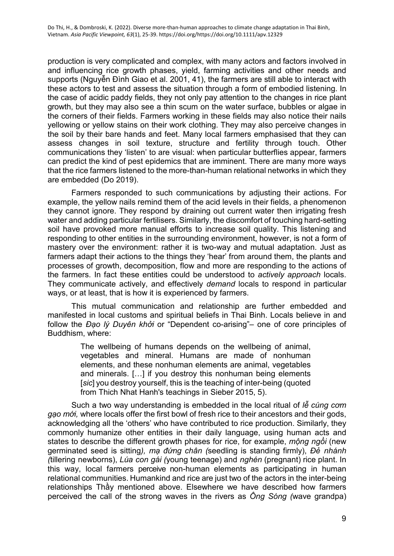production is very complicated and complex, with many actors and factors involved in and influencing rice growth phases, yield, farming activities and other needs and supports (Nguyễn Đình Giao et al. 2001, 41), the farmers are still able to interact with these actors to test and assess the situation through a form of embodied listening. In the case of acidic paddy fields, they not only pay attention to the changes in rice plant growth, but they may also see a thin scum on the water surface, bubbles or algae in the corners of their fields. Farmers working in these fields may also notice their nails yellowing or yellow stains on their work clothing. They may also perceive changes in the soil by their bare hands and feet. Many local farmers emphasised that they can assess changes in soil texture, structure and fertility through touch. Other communications they 'listen' to are visual: when particular butterflies appear, farmers can predict the kind of pest epidemics that are imminent. There are many more ways that the rice farmers listened to the more-than-human relational networks in which they are embedded (Do 2019).

Farmers responded to such communications by adjusting their actions. For example, the yellow nails remind them of the acid levels in their fields, a phenomenon they cannot ignore. They respond by draining out current water then irrigating fresh water and adding particular fertilisers. Similarly, the discomfort of touching hard-setting soil have provoked more manual efforts to increase soil quality. This listening and responding to other entities in the surrounding environment, however, is not a form of mastery over the environment: rather it is two-way and mutual adaptation. Just as farmers adapt their actions to the things they 'hear' from around them, the plants and processes of growth, decomposition, flow and more are responding to the actions of the farmers. In fact these entities could be understood to *actively approach* locals. They communicate actively, and effectively *demand* locals to respond in particular ways, or at least, that is how it is experienced by farmers.

This mutual communication and relationship are further embedded and manifested in local customs and spiritual beliefs in Thai Binh. Locals believe in and follow the *Đạo lý Duyên khởi* or "Dependent co-arising"– one of core principles of Buddhism, where:

> The wellbeing of humans depends on the wellbeing of animal, vegetables and mineral. Humans are made of nonhuman elements, and these nonhuman elements are animal, vegetables and minerals. […] if you destroy this nonhuman being elements [*sic*] you destroy yourself, this is the teaching of inter-being (quoted from Thich Nhat Hanh's teachings in Sieber 2015, 5).

Such a two way understanding is embedded in the local ritual of *lễ cúng cơm gạo mới,* where locals offer the first bowl of fresh rice to their ancestors and their gods, acknowledging all the 'others' who have contributed to rice production. Similarly, they commonly humanize other entities in their daily language, using human acts and states to describe the different growth phases for rice, for example, *mộng ngồi* (new germinated seed is sitting*), mạ đứng chân (*seedling is standing firmly), *Đẻ nhánh (*tillering newborns), *Lúa con gái (*young teenage) and *nghén* (pregnant) rice plant. In this way, local farmers perceive non-human elements as participating in human relational communities. Humankind and rice are just two of the actors in the inter-being relationships Thầy mentioned above. Elsewhere we have described how farmers perceived the call of the strong waves in the rivers as *Ông Sóng (*wave grandpa)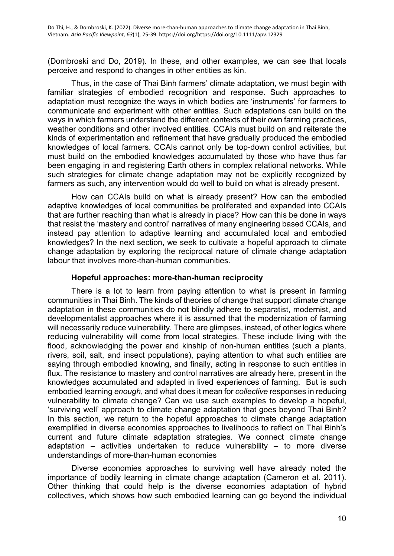(Dombroski and Do, 2019). In these, and other examples, we can see that locals perceive and respond to changes in other entities as kin.

Thus, in the case of Thai Binh farmers' climate adaptation, we must begin with familiar strategies of embodied recognition and response. Such approaches to adaptation must recognize the ways in which bodies are 'instruments' for farmers to communicate and experiment with other entities. Such adaptations can build on the ways in which farmers understand the different contexts of their own farming practices, weather conditions and other involved entities. CCAIs must build on and reiterate the kinds of experimentation and refinement that have gradually produced the embodied knowledges of local farmers. CCAIs cannot only be top-down control activities, but must build on the embodied knowledges accumulated by those who have thus far been engaging in and registering Earth others in complex relational networks. While such strategies for climate change adaptation may not be explicitly recognized by farmers as such, any intervention would do well to build on what is already present.

How can CCAIs build on what is already present? How can the embodied adaptive knowledges of local communities be proliferated and expanded into CCAIs that are further reaching than what is already in place? How can this be done in ways that resist the 'mastery and control' narratives of many engineering based CCAIs, and instead pay attention to adaptive learning and accumulated local and embodied knowledges? In the next section, we seek to cultivate a hopeful approach to climate change adaptation by exploring the reciprocal nature of climate change adaptation labour that involves more-than-human communities.

#### **Hopeful approaches: more-than-human reciprocity**

There is a lot to learn from paying attention to what is present in farming communities in Thai Binh. The kinds of theories of change that support climate change adaptation in these communities do not blindly adhere to separatist, modernist, and developmentalist approaches where it is assumed that the modernization of farming will necessarily reduce vulnerability. There are glimpses, instead, of other logics where reducing vulnerability will come from local strategies. These include living with the flood, acknowledging the power and kinship of non-human entities (such a plants, rivers, soil, salt, and insect populations), paying attention to what such entities are saying through embodied knowing, and finally, acting in response to such entities in flux. The resistance to mastery and control narratives are already here, present in the knowledges accumulated and adapted in lived experiences of farming. But is such embodied learning *enough*, and what does it mean for *collective* responses in reducing vulnerability to climate change? Can we use such examples to develop a hopeful, 'surviving well' approach to climate change adaptation that goes beyond Thai Binh? In this section, we return to the hopeful approaches to climate change adaptation exemplified in diverse economies approaches to livelihoods to reflect on Thai Binh's current and future climate adaptation strategies. We connect climate change adaptation – activities undertaken to reduce vulnerability – to more diverse understandings of more-than-human economies

Diverse economies approaches to surviving well have already noted the importance of bodily learning in climate change adaptation (Cameron et al. 2011). Other thinking that could help is the diverse economies adaptation of hybrid collectives, which shows how such embodied learning can go beyond the individual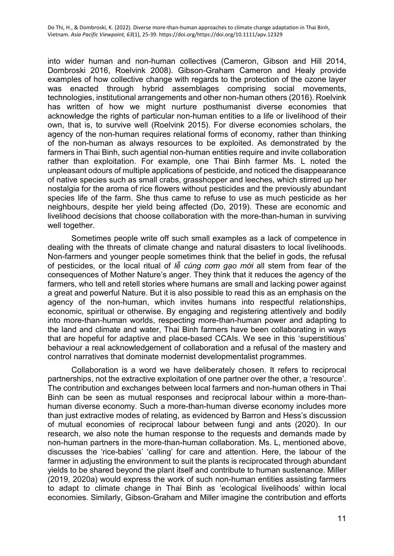into wider human and non-human collectives (Cameron, Gibson and Hill 2014, Dombroski 2016, Roelvink 2008). Gibson-Graham Cameron and Healy provide examples of how collective change with regards to the protection of the ozone layer was enacted through hybrid assemblages comprising social movements, technologies, institutional arrangements and other non-human others (2016). Roelvink has written of how we might nurture posthumanist diverse economies that acknowledge the rights of particular non-human entities to a life or livelihood of their own, that is, to survive well (Roelvink 2015). For diverse economies scholars, the agency of the non-human requires relational forms of economy, rather than thinking of the non-human as always resources to be exploited. As demonstrated by the farmers in Thai Binh, such agential non-human entities require and invite collaboration rather than exploitation. For example, one Thai Binh farmer Ms. L noted the unpleasant odours of multiple applications of pesticide, and noticed the disappearance of native species such as small crabs, grasshopper and leeches, which stirred up her nostalgia for the aroma of rice flowers without pesticides and the previously abundant species life of the farm. She thus came to refuse to use as much pesticide as her neighbours, despite her yield being affected (Do, 2019). These are economic and livelihood decisions that choose collaboration with the more-than-human in surviving well together.

Sometimes people write off such small examples as a lack of competence in dealing with the threats of climate change and natural disasters to local livelihoods. Non-farmers and younger people sometimes think that the belief in gods, the refusal of pesticides, or the local ritual of *lễ cúng cơm gạo mới* all stem from fear of the consequences of Mother Nature's anger. They think that it reduces the agency of the farmers, who tell and retell stories where humans are small and lacking power against a great and powerful Nature. But it is also possible to read this as an emphasis on the agency of the non-human, which invites humans into respectful relationships, economic, spiritual or otherwise. By engaging and registering attentively and bodily into more-than-human worlds, respecting more-than-human power and adapting to the land and climate and water, Thai Binh farmers have been collaborating in ways that are hopeful for adaptive and place-based CCAIs. We see in this 'superstitious' behaviour a real acknowledgement of collaboration and a refusal of the mastery and control narratives that dominate modernist developmentalist programmes.

Collaboration is a word we have deliberately chosen. It refers to reciprocal partnerships, not the extractive exploitation of one partner over the other, a 'resource'. The contribution and exchanges between local farmers and non-human others in Thai Binh can be seen as mutual responses and reciprocal labour within a more-thanhuman diverse economy. Such a more-than-human diverse economy includes more than just extractive modes of relating, as evidenced by Barron and Hess's discussion of mutual economies of reciprocal labour between fungi and ants (2020). In our research, we also note the human response to the requests and demands made by non-human partners in the more-than-human collaboration. Ms. L, mentioned above, discusses the 'rice-babies' 'calling' for care and attention. Here, the labour of the farmer in adjusting the environment to suit the plants is reciprocated through abundant yields to be shared beyond the plant itself and contribute to human sustenance. Miller (2019, 2020a) would express the work of such non-human entities assisting farmers to adapt to climate change in Thai Binh as 'ecological livelihoods' within local economies. Similarly, Gibson-Graham and Miller imagine the contribution and efforts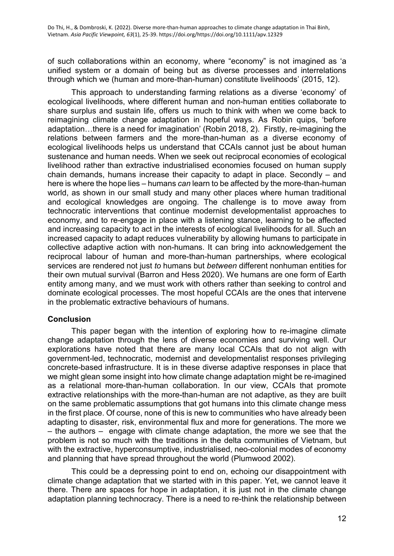of such collaborations within an economy, where "economy" is not imagined as 'a unified system or a domain of being but as diverse processes and interrelations through which we (human and more-than-human) constitute livelihoods' (2015, 12).

This approach to understanding farming relations as a diverse 'economy' of ecological livelihoods, where different human and non-human entities collaborate to share surplus and sustain life, offers us much to think with when we come back to reimagining climate change adaptation in hopeful ways. As Robin quips, 'before adaptation…there is a need for imagination' (Robin 2018, 2). Firstly, re-imagining the relations between farmers and the more-than-human as a diverse economy of ecological livelihoods helps us understand that CCAIs cannot just be about human sustenance and human needs. When we seek out reciprocal economies of ecological livelihood rather than extractive industrialised economies focused on human supply chain demands, humans increase their capacity to adapt in place. Secondly – and here is where the hope lies – humans *can* learn to be affected by the more-than-human world, as shown in our small study and many other places where human traditional and ecological knowledges are ongoing. The challenge is to move away from technocratic interventions that continue modernist developmentalist approaches to economy, and to re-engage in place with a listening stance, learning to be affected and increasing capacity to act in the interests of ecological livelihoods for all. Such an increased capacity to adapt reduces vulnerability by allowing humans to participate in collective adaptive action with non-humans. It can bring into acknowledgement the reciprocal labour of human and more-than-human partnerships, where ecological services are rendered not just *to* humans but *between* different nonhuman entities for their own mutual survival (Barron and Hess 2020). We humans are one form of Earth entity among many, and we must work with others rather than seeking to control and dominate ecological processes. The most hopeful CCAIs are the ones that intervene in the problematic extractive behaviours of humans.

# **Conclusion**

This paper began with the intention of exploring how to re-imagine climate change adaptation through the lens of diverse economies and surviving well. Our explorations have noted that there are many local CCAIs that do not align with government-led, technocratic, modernist and developmentalist responses privileging concrete-based infrastructure. It is in these diverse adaptive responses in place that we might glean some insight into how climate change adaptation might be re-imagined as a relational more-than-human collaboration. In our view, CCAIs that promote extractive relationships with the more-than-human are not adaptive, as they are built on the same problematic assumptions that got humans into this climate change mess in the first place. Of course, none of this is new to communities who have already been adapting to disaster, risk, environmental flux and more for generations. The more we  $-$  the authors  $-$  engage with climate change adaptation, the more we see that the problem is not so much with the traditions in the delta communities of Vietnam, but with the extractive, hyperconsumptive, industrialised, neo-colonial modes of economy and planning that have spread throughout the world (Plumwood 2002).

This could be a depressing point to end on, echoing our disappointment with climate change adaptation that we started with in this paper. Yet, we cannot leave it there. There are spaces for hope in adaptation, it is just not in the climate change adaptation planning technocracy. There is a need to re-think the relationship between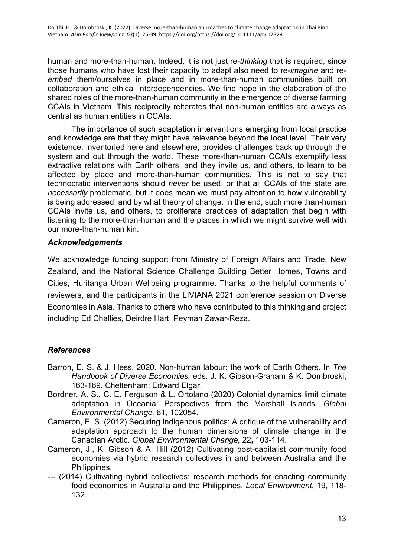human and more-than-human. Indeed, it is not just re-*thinking* that is required, since those humans who have lost their capacity to adapt also need to re-*imagine* and re*embed* them/ourselves in place and in more-than-human communities built on collaboration and ethical interdependencies. We find hope in the elaboration of the shared roles of the more-than-human community in the emergence of diverse farming CCAIs in Vietnam. This reciprocity reiterates that non-human entities are always as central as human entities in CCAIs.

The importance of such adaptation interventions emerging from local practice and knowledge are that they might have relevance beyond the local level. Their very existence, inventoried here and elsewhere, provides challenges back up through the system and out through the world. These more-than-human CCAIs exemplify less extractive relations with Earth others, and they invite us, and others, to learn to be affected by place and more-than-human communities. This is not to say that technocratic interventions should *never* be used, or that all CCAIs of the state are *necessarily* problematic, but it does mean we must pay attention to how vulnerability is being addressed, and by what theory of change. In the end, such more than-human CCAIs invite us, and others, to proliferate practices of adaptation that begin with listening to the more-than-human and the places in which we might survive well with our more-than-human kin.

## *Acknowledgements*

We acknowledge funding support from Ministry of Foreign Affairs and Trade, New Zealand, and the National Science Challenge Building Better Homes, Towns and Cities, Huritanga Urban Wellbeing programme. Thanks to the helpful comments of reviewers, and the participants in the LIVIANA 2021 conference session on Diverse Economies in Asia. Thanks to others who have contributed to this thinking and project including Ed Challies, Deirdre Hart, Peyman Zawar-Reza.

# *References*

- Barron, E. S. & J. Hess. 2020. Non-human labour: the work of Earth Others. In *The Handbook of Diverse Economies,* eds. J. K. Gibson-Graham & K. Dombroski, 163-169. Cheltenham: Edward Elgar.
- Bordner, A. S., C. E. Ferguson & L. Ortolano (2020) Colonial dynamics limit climate adaptation in Oceania: Perspectives from the Marshall Islands. *Global Environmental Change,* 61**,** 102054.
- Cameron, E. S. (2012) Securing Indigenous politics: A critique of the vulnerability and adaptation approach to the human dimensions of climate change in the Canadian Arctic. *Global Environmental Change,* 22**,** 103-114.
- Cameron, J., K. Gibson & A. Hill (2012) Cultivating post-capitalist community food economies via hybrid research collectives in and between Australia and the Philippines.
- --- (2014) Cultivating hybrid collectives: research methods for enacting community food economies in Australia and the Philippines. *Local Environment,* 19**,** 118- 132.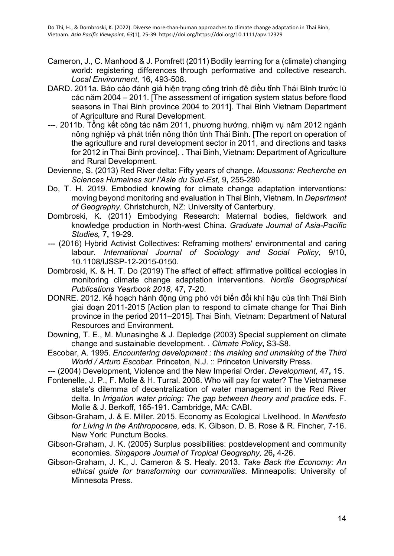- Cameron, J., C. Manhood & J. Pomfrett (2011) Bodily learning for a (climate) changing world: registering differences through performative and collective research. *Local Environment,* 16**,** 493-508.
- DARD. 2011a. Báo cáo đánh giá hiện trạng công trình đê điều tỉnh Thái Bình trước lũ các năm 2004 – 2011. [The assessment of irrigation system status before flood seasons in Thai Binh province 2004 to 2011]. Thai Binh Vietnam Department of Agriculture and Rural Development.
- ---. 2011b. Tổng kết công tác năm 2011, phương hướng, nhiệm vụ năm 2012 ngành nông nghiệp và phát triển nông thôn tỉnh Thái Bình. [The report on operation of the agriculture and rural development sector in 2011, and directions and tasks for 2012 in Thai Binh province]. . Thai Binh, Vietnam: Department of Agriculture and Rural Development.
- Devienne, S. (2013) Red River delta: Fifty years of change. *Moussons: Recherche en Sciences Humaines sur l'Asie du Sud-Est,* 9**,** 255-280.
- Do, T. H. 2019. Embodied knowing for climate change adaptation interventions: moving beyond monitoring and evaluation in Thai Binh, Vietnam. In *Department of Geography*. Christchurch, NZ: University of Canterbury.
- Dombroski, K. (2011) Embodying Research: Maternal bodies, fieldwork and knowledge production in North-west China. *Graduate Journal of Asia-Pacific Studies,* 7**,** 19-29.
- --- (2016) Hybrid Activist Collectives: Reframing mothers' environmental and caring labour. *International Journal of Sociology and Social Policy,* 9/10**,** 10.1108/IJSSP-12-2015-0150.
- Dombroski, K. & H. T. Do (2019) The affect of effect: affirmative political ecologies in monitoring climate change adaptation interventions. *Nordia Geographical Publications Yearbook 2018,* 47**,** 7-20.
- DONRE. 2012. Kế hoạch hành động ứng phó với biến đổi khí hậu của tỉnh Thái Bình giai đoạn 2011-2015 [Action plan to respond to climate change for Thai Binh province in the period 2011–2015]. Thai Binh, Vietnam: Department of Natural Resources and Environment.
- Downing, T. E., M. Munasinghe & J. Depledge (2003) Special supplement on climate change and sustainable development. . *Climate Policy***,** S3-S8.
- Escobar, A. 1995. *Encountering development : the making and unmaking of the Third World / Arturo Escobar*. Princeton, N.J. :: Princeton University Press.
- --- (2004) Development, Violence and the New Imperial Order. *Development,* 47**,** 15.
- Fontenelle, J. P., F. Molle & H. Turral. 2008. Who will pay for water? The Vietnamese state's dilemma of decentralization of water management in the Red River delta. In *Irrigation water pricing: The gap between theory and practice* eds. F. Molle & J. Berkoff, 165-191. Cambridge, MA: CABI.
- Gibson-Graham, J. & E. Miller. 2015. Economy as Ecological Livelihood. In *Manifesto for Living in the Anthropocene,* eds. K. Gibson, D. B. Rose & R. Fincher, 7-16. New York: Punctum Books.
- Gibson-Graham, J. K. (2005) Surplus possibilities: postdevelopment and community economies. *Singapore Journal of Tropical Geography,* 26**,** 4-26.
- Gibson-Graham, J. K., J. Cameron & S. Healy. 2013. *Take Back the Economy: An ethical guide for transforming our communities*. Minneapolis: University of Minnesota Press.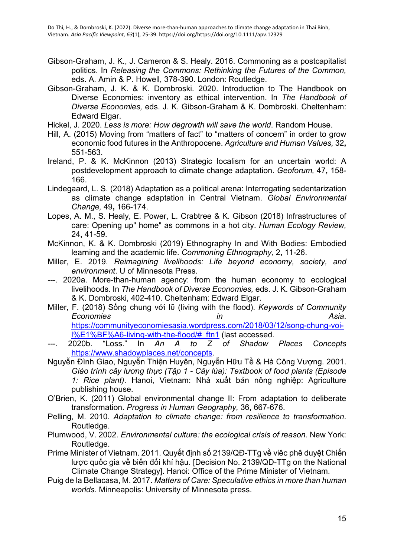- Gibson-Graham, J. K., J. Cameron & S. Healy. 2016. Commoning as a postcapitalist politics. In *Releasing the Commons: Rethinking the Futures of the Common,*  eds. A. Amin & P. Howell, 378-390. London: Routledge.
- Gibson-Graham, J. K. & K. Dombroski. 2020. Introduction to The Handbook on Diverse Economies: inventory as ethical intervention. In *The Handbook of Diverse Economies,* eds. J. K. Gibson-Graham & K. Dombroski. Cheltenham: Edward Elgar.
- Hickel, J. 2020. *Less is more: How degrowth will save the world*. Random House.
- Hill, A. (2015) Moving from "matters of fact" to "matters of concern" in order to grow economic food futures in the Anthropocene. *Agriculture and Human Values,* 32**,** 551-563.
- Ireland, P. & K. McKinnon (2013) Strategic localism for an uncertain world: A postdevelopment approach to climate change adaptation. *Geoforum,* 47**,** 158- 166.
- Lindegaard, L. S. (2018) Adaptation as a political arena: Interrogating sedentarization as climate change adaptation in Central Vietnam. *Global Environmental Change,* 49**,** 166-174.
- Lopes, A. M., S. Healy, E. Power, L. Crabtree & K. Gibson (2018) Infrastructures of care: Opening up" home" as commons in a hot city. *Human Ecology Review,* 24**,** 41-59.
- McKinnon, K. & K. Dombroski (2019) Ethnography In and With Bodies: Embodied learning and the academic life. *Commoning Ethnography,* 2**,** 11-26.
- Miller, E. 2019. *Reimagining livelihoods: Life beyond economy, society, and environment*. U of Minnesota Press.
- ---. 2020a. More-than-human agency: from the human economy to ecological livelihoods. In *The Handbook of Diverse Economies,* eds. J. K. Gibson-Graham & K. Dombroski, 402-410. Cheltenham: Edward Elgar.
- Miller, F. (2018) Sống chung với lῦ (living with the flood). *Keywords of Community Economies in Asia*. [https://communityeconomiesasia.wordpress.com/2018/03/12/song-chung-voi](https://communityeconomiesasia.wordpress.com/2018/03/12/song-chung-voi-l%E1%BF%A6-living-with-the-flood/#_ftn1)[l%E1%BF%A6-living-with-the-flood/#\\_ftn1](https://communityeconomiesasia.wordpress.com/2018/03/12/song-chung-voi-l%E1%BF%A6-living-with-the-flood/#_ftn1) (last accessed.
- ---. 2020b. "Loss." In *An A to Z of Shadow Places Concepts*  [https://www.shadowplaces.net/concepts.](https://www.shadowplaces.net/concepts)
- Nguyễn Đình Giao, Nguyễn Thiện Huyên, Nguyễn Hữu Tề & Hà Công Vượng. 2001. *Giáo trình cây lương thực (Tập 1 - Cây lúa): Textbook of food plants (Episode 1: Rice plant)*. Hanoi, Vietnam: Nhà xuất bản nông nghiệp: Agriculture publishing house.
- O'Brien, K. (2011) Global environmental change II: From adaptation to deliberate transformation. *Progress in Human Geography,* 36**,** 667-676.
- Pelling, M. 2010. *Adaptation to climate change: from resilience to transformation*. Routledge.
- Plumwood, V. 2002. *Environmental culture: the ecological crisis of reason*. New York: Routledge.
- Prime Minister of Vietnam. 2011. Quyết định số 2139/QĐ-TTg về viêc phê duyệt Chiến lược quốc gia về biến đổi khí hậu. [Decision No. 2139/QD-TTg on the National Climate Change Strategy]. Hanoi: Office of the Prime Minister of Vietnam.
- Puig de la Bellacasa, M. 2017. *Matters of Care: Speculative ethics in more than human worlds*. Minneapolis: University of Minnesota press.